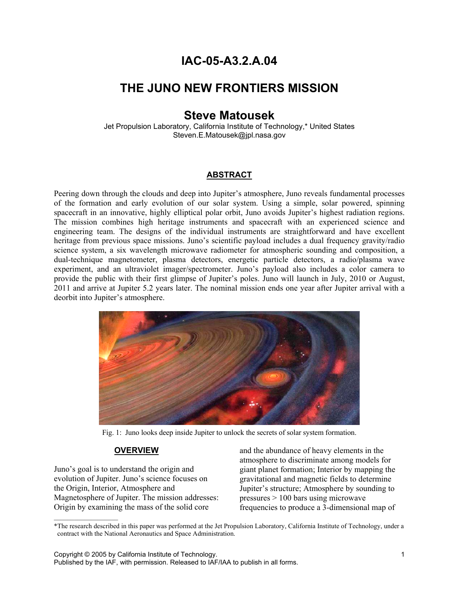# **IAC-05-A3.2.A.04**

# **THE JUNO NEW FRONTIERS MISSION**

# **Steve Matousek**

Jet Propulsion Laboratory, California Institute of Technology,\* United States Steven.E.Matousek@jpl.nasa.gov

#### **ABSTRACT**

Peering down through the clouds and deep into Jupiter's atmosphere, Juno reveals fundamental processes of the formation and early evolution of our solar system. Using a simple, solar powered, spinning spacecraft in an innovative, highly elliptical polar orbit, Juno avoids Jupiter's highest radiation regions. The mission combines high heritage instruments and spacecraft with an experienced science and engineering team. The designs of the individual instruments are straightforward and have excellent heritage from previous space missions. Juno's scientific payload includes a dual frequency gravity/radio science system, a six wavelength microwave radiometer for atmospheric sounding and composition, a dual-technique magnetometer, plasma detectors, energetic particle detectors, a radio/plasma wave experiment, and an ultraviolet imager/spectrometer. Juno's payload also includes a color camera to provide the public with their first glimpse of Jupiter's poles. Juno will launch in July, 2010 or August, 2011 and arrive at Jupiter 5.2 years later. The nominal mission ends one year after Jupiter arrival with a deorbit into Jupiter's atmosphere.



Fig. 1: Juno looks deep inside Jupiter to unlock the secrets of solar system formation.

## **OVERVIEW**

Juno's goal is to understand the origin and evolution of Jupiter. Juno's science focuses on the Origin, Interior, Atmosphere and Magnetosphere of Jupiter. The mission addresses: Origin by examining the mass of the solid core

 $\frac{1}{2}$  ,  $\frac{1}{2}$  ,  $\frac{1}{2}$  ,  $\frac{1}{2}$  ,  $\frac{1}{2}$  ,  $\frac{1}{2}$  ,  $\frac{1}{2}$  ,  $\frac{1}{2}$  ,  $\frac{1}{2}$  ,  $\frac{1}{2}$ 

and the abundance of heavy elements in the atmosphere to discriminate among models for giant planet formation; Interior by mapping the gravitational and magnetic fields to determine Jupiter's structure; Atmosphere by sounding to pressures > 100 bars using microwave frequencies to produce a 3-dimensional map of

Copyright © 2005 by California Institute of Technology. 1

<sup>\*</sup>The research described in this paper was performed at the Jet Propulsion Laboratory, California Institute of Technology, under a contract with the National Aeronautics and Space Administration.

Published by the IAF, with permission. Released to IAF/IAA to publish in all forms.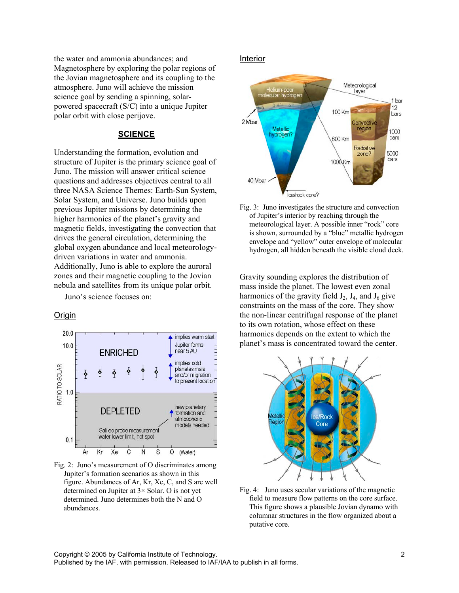the water and ammonia abundances; and Magnetosphere by exploring the polar regions of the Jovian magnetosphere and its coupling to the atmosphere. Juno will achieve the mission science goal by sending a spinning, solarpowered spacecraft (S/C) into a unique Jupiter polar orbit with close perijove.

#### **SCIENCE**

Understanding the formation, evolution and structure of Jupiter is the primary science goal of Juno. The mission will answer critical science questions and addresses objectives central to all three NASA Science Themes: Earth-Sun System, Solar System, and Universe. Juno builds upon previous Jupiter missions by determining the higher harmonics of the planet's gravity and magnetic fields, investigating the convection that drives the general circulation, determining the global oxygen abundance and local meteorologydriven variations in water and ammonia. Additionally, Juno is able to explore the auroral zones and their magnetic coupling to the Jovian nebula and satellites from its unique polar orbit.

Juno's science focuses on:

#### **Origin**



Fig. 2: Juno's measurement of O discriminates among Jupiter's formation scenarios as shown in this figure. Abundances of Ar, Kr, Xe, C, and S are well determined on Jupiter at 3× Solar. O is not yet determined. Juno determines both the N and O abundances.

#### Interior



Fig. 3: Juno investigates the structure and convection of Jupiter's interior by reaching through the meteorological layer. A possible inner "rock" core is shown, surrounded by a "blue" metallic hydrogen envelope and "yellow" outer envelope of molecular hydrogen, all hidden beneath the visible cloud deck.

Gravity sounding explores the distribution of mass inside the planet. The lowest even zonal harmonics of the gravity field  $J_2$ ,  $J_4$ , and  $J_6$  give constraints on the mass of the core. They show the non-linear centrifugal response of the planet to its own rotation, whose effect on these harmonics depends on the extent to which the planet's mass is concentrated toward the center.



Fig. 4: Juno uses secular variations of the magnetic field to measure flow patterns on the core surface. This figure shows a plausible Jovian dynamo with columnar structures in the flow organized about a putative core.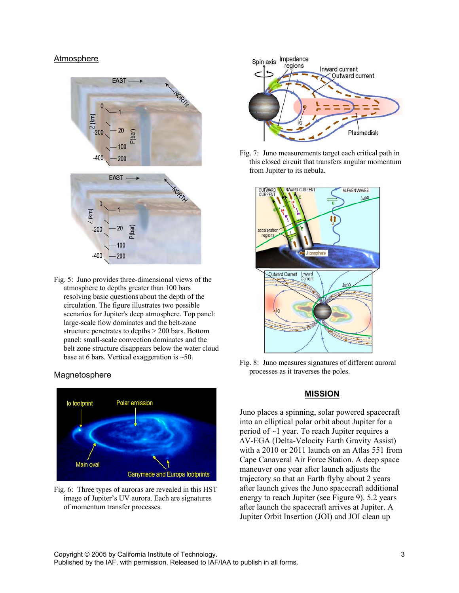#### Atmosphere



Fig. 5: Juno provides three-dimensional views of the atmosphere to depths greater than 100 bars resolving basic questions about the depth of the circulation. The figure illustrates two possible scenarios for Jupiter's deep atmosphere. Top panel: large-scale flow dominates and the belt-zone structure penetrates to depths > 200 bars. Bottom panel: small-scale convection dominates and the belt zone structure disappears below the water cloud base at 6 bars. Vertical exaggeration is ~50.

#### Magnetosphere



Fig. 6: Three types of auroras are revealed in this HST image of Jupiter's UV aurora. Each are signatures of momentum transfer processes.



Fig. 7: Juno measurements target each critical path in this closed circuit that transfers angular momentum from Jupiter to its nebula.



Fig. 8: Juno measures signatures of different auroral processes as it traverses the poles.

#### **MISSION**

Juno places a spinning, solar powered spacecraft into an elliptical polar orbit about Jupiter for a period of ~1 year. To reach Jupiter requires a ∆V-EGA (Delta-Velocity Earth Gravity Assist) with a 2010 or 2011 launch on an Atlas 551 from Cape Canaveral Air Force Station. A deep space maneuver one year after launch adjusts the trajectory so that an Earth flyby about 2 years after launch gives the Juno spacecraft additional energy to reach Jupiter (see Figure 9). 5.2 years after launch the spacecraft arrives at Jupiter. A Jupiter Orbit Insertion (JOI) and JOI clean up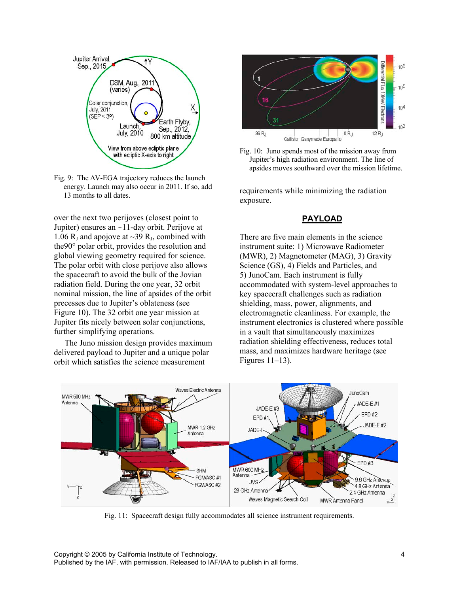



over the next two perijoves (closest point to Jupiter) ensures an ~11-day orbit. Perijove at 1.06  $R_J$  and apojove at ~39  $R_J$ , combined with the90° polar orbit, provides the resolution and global viewing geometry required for science. The polar orbit with close perijove also allows the spacecraft to avoid the bulk of the Jovian radiation field. During the one year, 32 orbit nominal mission, the line of apsides of the orbit precesses due to Jupiter's oblateness (see Figure 10). The 32 orbit one year mission at Jupiter fits nicely between solar conjunctions, further simplifying operations.

The Juno mission design provides maximum delivered payload to Jupiter and a unique polar orbit which satisfies the science measurement



Fig. 10: Juno spends most of the mission away from Jupiter's high radiation environment. The line of apsides moves southward over the mission lifetime.

requirements while minimizing the radiation exposure.

## **PAYLOAD**

There are five main elements in the science instrument suite: 1) Microwave Radiometer (MWR), 2) Magnetometer (MAG), 3) Gravity Science (GS), 4) Fields and Particles, and 5) JunoCam. Each instrument is fully accommodated with system-level approaches to key spacecraft challenges such as radiation shielding, mass, power, alignments, and electromagnetic cleanliness. For example, the instrument electronics is clustered where possible in a vault that simultaneously maximizes radiation shielding effectiveness, reduces total mass, and maximizes hardware heritage (see Figures 11–13).



Fig. 11: Spacecraft design fully accommodates all science instrument requirements.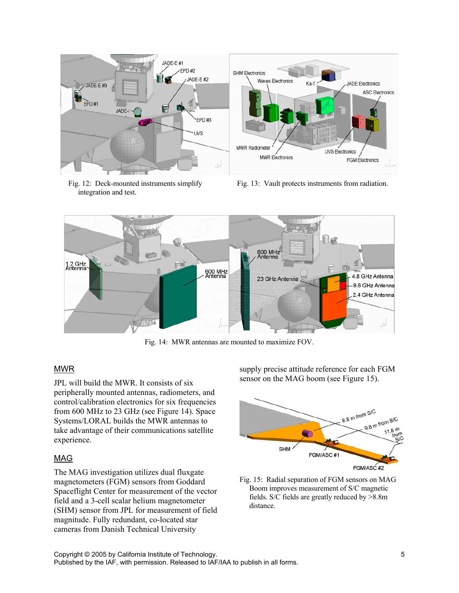

Fig. 12: Deck-mounted instruments simplify integration and test.

Fig. 13: Vault protects instruments from radiation.



Fig. 14: MWR antennas are mounted to maximize FOV.

# MWR

JPL will build the MWR. It consists of six peripherally mounted antennas, radiometers, and control/calibration electronics for six frequencies from 600 MHz to 23 GHz (see Figure 14). Space Systems/LORAL builds the MWR antennas to take advantage of their communications satellite experience.

# MAG

The MAG investigation utilizes dual fluxgate magnetometers (FGM) sensors from Goddard Spaceflight Center for measurement of the vector field and a 3-cell scalar helium magnetometer (SHM) sensor from JPL for measurement of field magnitude. Fully redundant, co-located star cameras from Danish Technical University

supply precise attitude reference for each FGM sensor on the MAG boom (see Figure 15).



Fig. 15: Radial separation of FGM sensors on MAG Boom improves measurement of S/C magnetic fields. S/C fields are greatly reduced by >8.8m distance.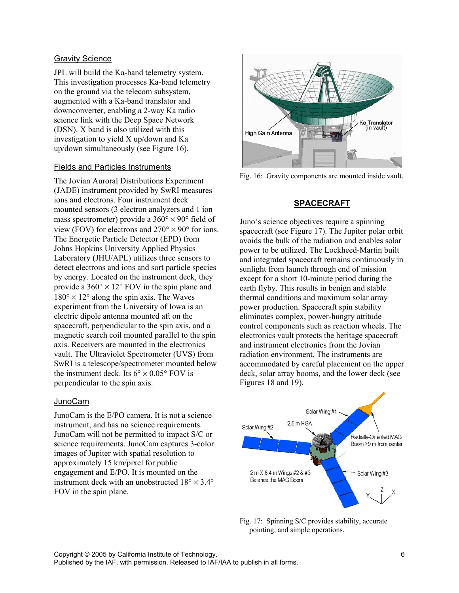## Gravity Science

JPL will build the Ka-band telemetry system. This investigation processes Ka-band telemetry on the ground via the telecom subsystem, augmented with a Ka-band translator and downconverter, enabling a 2-way Ka radio science link with the Deep Space Network (DSN). X band is also utilized with this investigation to yield X up/down and Ka up/down simultaneously (see Figure 16).

## Fields and Particles Instruments

The Jovian Auroral Distributions Experiment (JADE) instrument provided by SwRI measures ions and electrons. Four instrument deck mounted sensors (3 electron analyzers and 1 ion mass spectrometer) provide a  $360^{\circ} \times 90^{\circ}$  field of view (FOV) for electrons and  $270^{\circ} \times 90^{\circ}$  for ions. The Energetic Particle Detector (EPD) from Johns Hopkins University Applied Physics Laboratory (JHU/APL) utilizes three sensors to detect electrons and ions and sort particle species by energy. Located on the instrument deck, they provide a  $360^{\circ} \times 12^{\circ}$  FOV in the spin plane and  $180^{\circ} \times 12^{\circ}$  along the spin axis. The Waves experiment from the University of Iowa is an electric dipole antenna mounted aft on the spacecraft, perpendicular to the spin axis, and a magnetic search coil mounted parallel to the spin axis. Receivers are mounted in the electronics vault. The Ultraviolet Spectrometer (UVS) from SwRI is a telescope/spectrometer mounted below the instrument deck. Its  $6^{\circ} \times 0.05^{\circ}$  FOV is perpendicular to the spin axis.

#### JunoCam

JunoCam is the E/PO camera. It is not a science instrument, and has no science requirements. JunoCam will not be permitted to impact S/C or science requirements. JunoCam captures 3-color images of Jupiter with spatial resolution to approximately 15 km/pixel for public engagement and E/PO. It is mounted on the instrument deck with an unobstructed  $18^{\circ} \times 3.4^{\circ}$ FOV in the spin plane.



Fig. 16: Gravity components are mounted inside vault.

## **SPACECRAFT**

Juno's science objectives require a spinning spacecraft (see Figure 17). The Jupiter polar orbit avoids the bulk of the radiation and enables solar power to be utilized. The Lockheed-Martin built and integrated spacecraft remains continuously in sunlight from launch through end of mission except for a short 10-minute period during the earth flyby. This results in benign and stable thermal conditions and maximum solar array power production. Spacecraft spin stability eliminates complex, power-hungry attitude control components such as reaction wheels. The electronics vault protects the heritage spacecraft and instrument electronics from the Jovian radiation environment. The instruments are accommodated by careful placement on the upper deck, solar array booms, and the lower deck (see Figures 18 and 19).



Fig. 17: Spinning S/C provides stability, accurate pointing, and simple operations.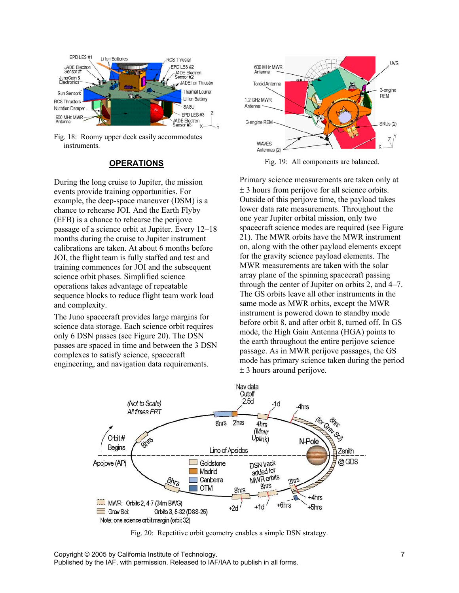

Fig. 18: Roomy upper deck easily accommodates instruments.

#### **OPERATIONS**

During the long cruise to Jupiter, the mission events provide training opportunities. For example, the deep-space maneuver (DSM) is a chance to rehearse JOI. And the Earth Flyby (EFB) is a chance to rehearse the perijove passage of a science orbit at Jupiter. Every 12–18 months during the cruise to Jupiter instrument calibrations are taken. At about 6 months before JOI, the flight team is fully staffed and test and training commences for JOI and the subsequent science orbit phases. Simplified science operations takes advantage of repeatable sequence blocks to reduce flight team work load and complexity.

The Juno spacecraft provides large margins for science data storage. Each science orbit requires only 6 DSN passes (see Figure 20). The DSN passes are spaced in time and between the 3 DSN complexes to satisfy science, spacecraft engineering, and navigation data requirements.



Fig. 19: All components are balanced.

Primary science measurements are taken only at ± 3 hours from perijove for all science orbits. Outside of this perijove time, the payload takes lower data rate measurements. Throughout the one year Jupiter orbital mission, only two spacecraft science modes are required (see Figure 21). The MWR orbits have the MWR instrument on, along with the other payload elements except for the gravity science payload elements. The MWR measurements are taken with the solar array plane of the spinning spacecraft passing through the center of Jupiter on orbits 2, and 4–7. The GS orbits leave all other instruments in the same mode as MWR orbits, except the MWR instrument is powered down to standby mode before orbit 8, and after orbit 8, turned off. In GS mode, the High Gain Antenna (HGA) points to the earth throughout the entire perijove science passage. As in MWR perijove passages, the GS mode has primary science taken during the period ± 3 hours around perijove.



Fig. 20: Repetitive orbit geometry enables a simple DSN strategy.